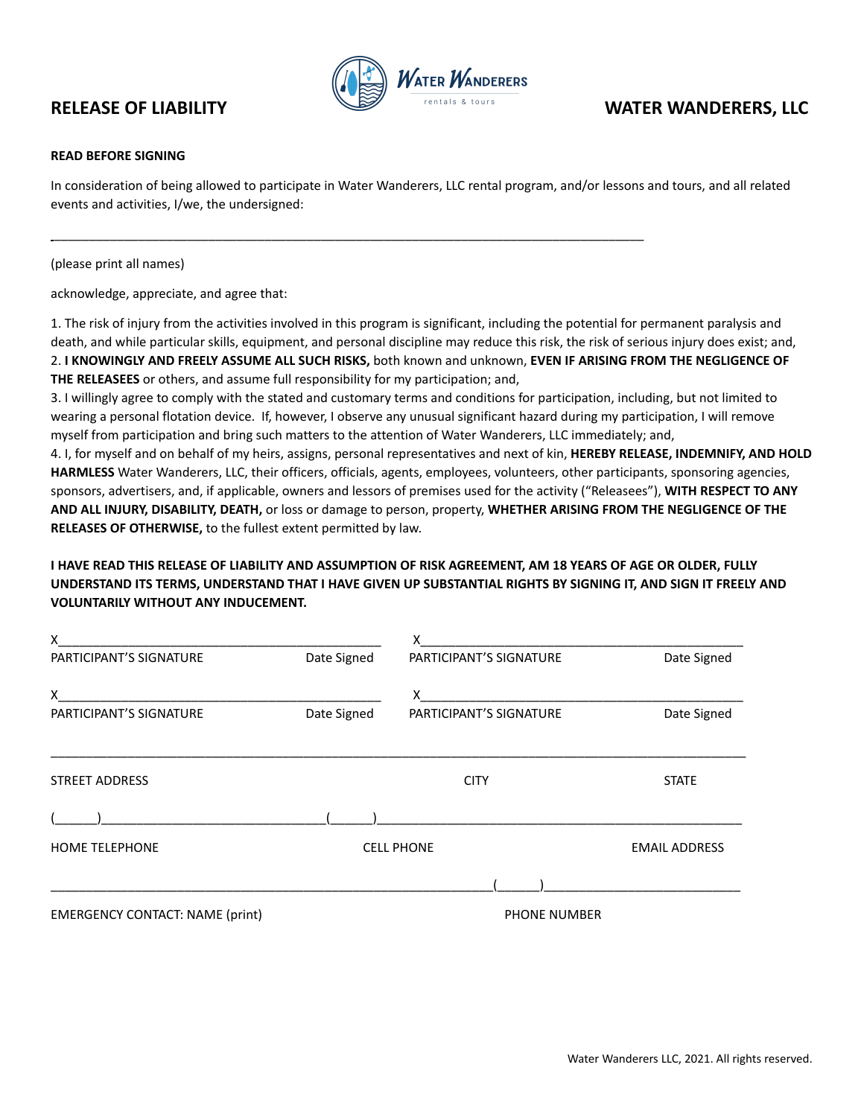

# **RELEASE OF LIABILITY WATER WANDERERS, LLC**

### **READ BEFORE SIGNING**

In consideration of being allowed to participate in Water Wanderers, LLC rental program, and/or lessons and tours, and all related events and activities, I/we, the undersigned:

\_\_\_\_\_\_\_\_\_\_\_\_\_\_\_\_\_\_\_\_\_\_\_\_\_\_\_\_\_\_\_\_\_\_\_\_\_\_\_\_\_\_\_\_\_\_\_\_\_\_\_\_\_\_\_\_\_\_\_\_\_\_\_\_\_\_\_\_\_\_\_\_\_\_\_\_\_\_\_\_\_\_\_\_

(please print all names)

acknowledge, appreciate, and agree that:

1. The risk of injury from the activities involved in this program is significant, including the potential for permanent paralysis and death, and while particular skills, equipment, and personal discipline may reduce this risk, the risk of serious injury does exist; and, 2. **I KNOWINGLY AND FREELY ASSUME ALL SUCH RISKS,** both known and unknown, **EVEN IF ARISING FROM THE NEGLIGENCE OF THE RELEASEES** or others, and assume full responsibility for my participation; and,

3. I willingly agree to comply with the stated and customary terms and conditions for participation, including, but not limited to wearing a personal flotation device. If, however, I observe any unusual significant hazard during my participation, I will remove myself from participation and bring such matters to the attention of Water Wanderers, LLC immediately; and,

4. I, for myself and on behalf of my heirs, assigns, personal representatives and next of kin, **HEREBY RELEASE, INDEMNIFY, AND HOLD HARMLESS** Water Wanderers, LLC, their officers, officials, agents, employees, volunteers, other participants, sponsoring agencies, sponsors, advertisers, and, if applicable, owners and lessors of premises used for the activity ("Releasees"), **WITH RESPECT TO ANY AND ALL INJURY, DISABILITY, DEATH,** or loss or damage to person, property, **WHETHER ARISING FROM THE NEGLIGENCE OF THE RELEASES OF OTHERWISE,** to the fullest extent permitted by law.

## I HAVE READ THIS RELEASE OF LIABILITY AND ASSUMPTION OF RISK AGREEMENT, AM 18 YEARS OF AGE OR OLDER, FULLY UNDERSTAND ITS TERMS, UNDERSTAND THAT I HAVE GIVEN UP SUBSTANTIAL RIGHTS BY SIGNING IT, AND SIGN IT FREELY AND **VOLUNTARILY WITHOUT ANY INDUCEMENT.**

| X                                      |                   | X                       |                      |
|----------------------------------------|-------------------|-------------------------|----------------------|
| PARTICIPANT'S SIGNATURE                | Date Signed       | PARTICIPANT'S SIGNATURE | Date Signed          |
| X                                      |                   | X —                     |                      |
| PARTICIPANT'S SIGNATURE                | Date Signed       | PARTICIPANT'S SIGNATURE | Date Signed          |
|                                        |                   |                         |                      |
| <b>STREET ADDRESS</b>                  |                   | <b>CITY</b>             | <b>STATE</b>         |
|                                        |                   |                         |                      |
| <b>HOME TELEPHONE</b>                  | <b>CELL PHONE</b> |                         | <b>EMAIL ADDRESS</b> |
|                                        |                   |                         |                      |
| <b>EMERGENCY CONTACT: NAME (print)</b> |                   | <b>PHONE NUMBER</b>     |                      |